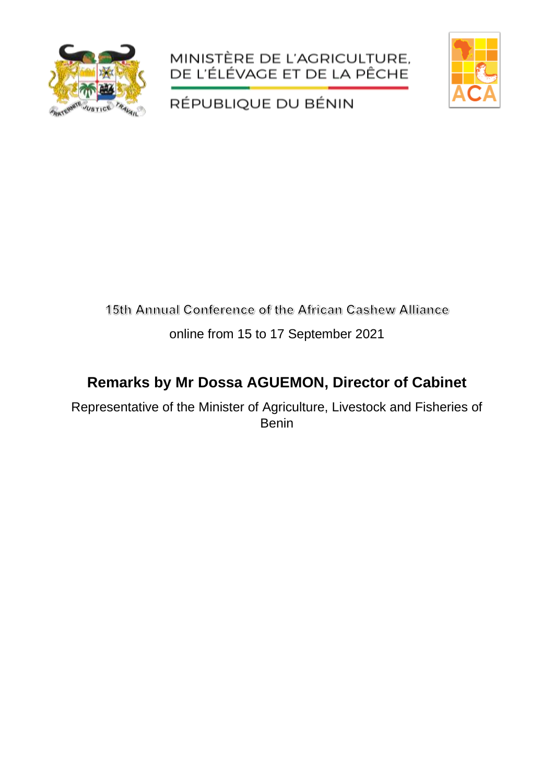





RÉPUBLIQUE DU BÉNIN

# 15th Annual Conference of the African Cashew Alliance

#### online from 15 to 17 September 2021

## **Remarks by Mr Dossa AGUEMON, Director of Cabinet**

Representative of the Minister of Agriculture, Livestock and Fisheries of Benin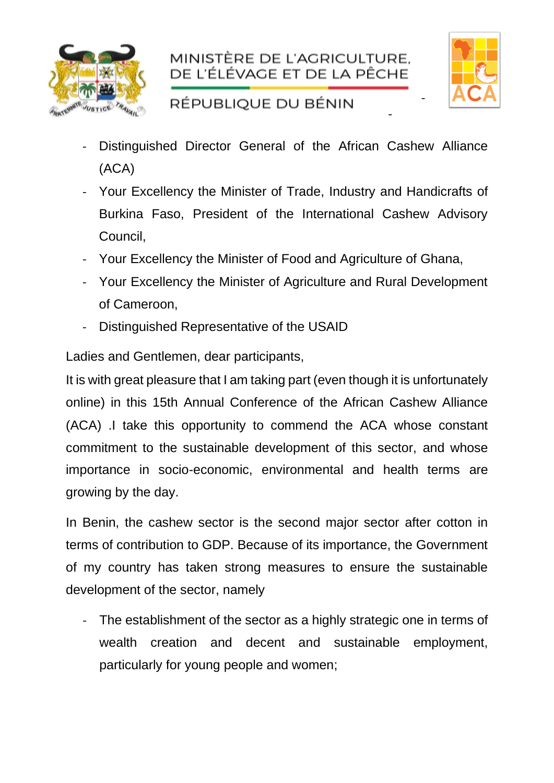



-

-

### RÉPUBLIQUE DU BÉNIN

- Distinguished Director General of the African Cashew Alliance (ACA)
- Your Excellency the Minister of Trade, Industry and Handicrafts of Burkina Faso, President of the International Cashew Advisory Council,
- Your Excellency the Minister of Food and Agriculture of Ghana,
- Your Excellency the Minister of Agriculture and Rural Development of Cameroon,
- Distinguished Representative of the USAID

Ladies and Gentlemen, dear participants,

It is with great pleasure that I am taking part (even though it is unfortunately online) in this 15th Annual Conference of the African Cashew Alliance (ACA) .I take this opportunity to commend the ACA whose constant commitment to the sustainable development of this sector, and whose importance in socio-economic, environmental and health terms are growing by the day.

In Benin, the cashew sector is the second major sector after cotton in terms of contribution to GDP. Because of its importance, the Government of my country has taken strong measures to ensure the sustainable development of the sector, namely

- The establishment of the sector as a highly strategic one in terms of wealth creation and decent and sustainable employment, particularly for young people and women;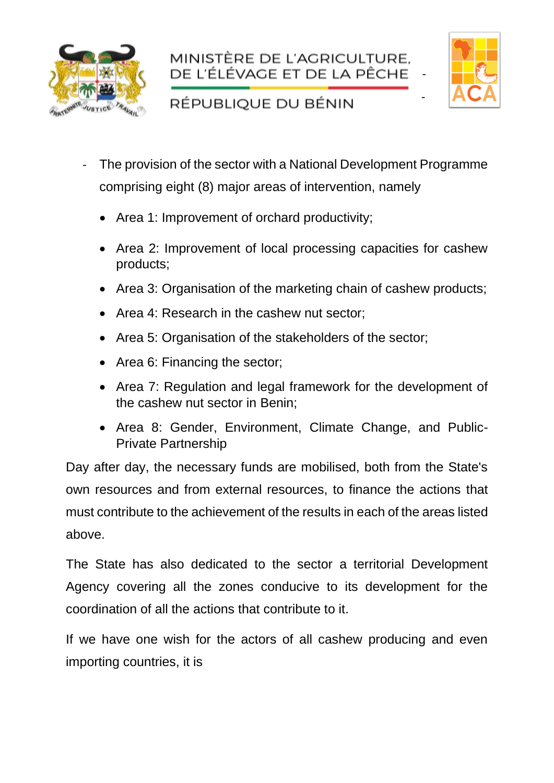





-

#### RÉPUBLIQUE DU BÉNIN

- The provision of the sector with a National Development Programme comprising eight (8) major areas of intervention, namely
	- Area 1: Improvement of orchard productivity;
	- Area 2: Improvement of local processing capacities for cashew products;
	- Area 3: Organisation of the marketing chain of cashew products;
	- Area 4: Research in the cashew nut sector;
	- Area 5: Organisation of the stakeholders of the sector;
	- Area 6: Financing the sector;
	- Area 7: Regulation and legal framework for the development of the cashew nut sector in Benin;
	- Area 8: Gender, Environment, Climate Change, and Public-Private Partnership

Day after day, the necessary funds are mobilised, both from the State's own resources and from external resources, to finance the actions that must contribute to the achievement of the results in each of the areas listed above.

The State has also dedicated to the sector a territorial Development Agency covering all the zones conducive to its development for the coordination of all the actions that contribute to it.

If we have one wish for the actors of all cashew producing and even importing countries, it is